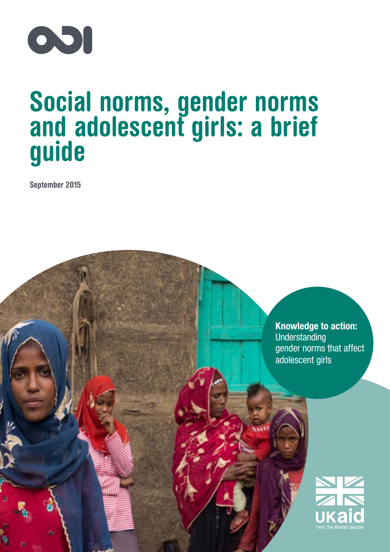

# Social norms, gender norms and adolescent girls: a brief guide

September 2015

Knowledge to action: Understanding gender norms that affect adolescent girls

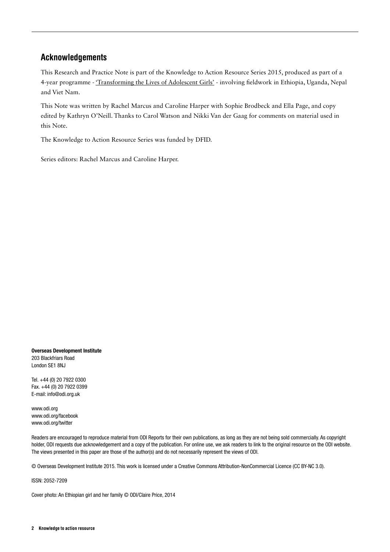# Acknowledgements

This Research and Practice Note is part of the Knowledge to Action Resource Series 2015, produced as part of a 4-year programme - ['Transforming the Lives of Adolescent Girls'](http://www.odi.org/projects/2590-discrimination-social-institutions-girls-young-women-adolescence) - involving fieldwork in Ethiopia, Uganda, Nepal and Viet Nam.

This Note was written by Rachel Marcus and Caroline Harper with Sophie Brodbeck and Ella Page, and copy edited by Kathryn O'Neill. Thanks to Carol Watson and Nikki Van der Gaag for comments on material used in this Note.

The Knowledge to Action Resource Series was funded by DFID.

Series editors: Rachel Marcus and Caroline Harper.

Overseas Development Institute 203 Blackfriars Road London SE1 8NJ

Tel. +44 (0) 20 7922 0300 Fax. +44 (0) 20 7922 0399 E-mail: [info@odi.org.uk](mailto:info@odi.org.uk)

<www.odi.org> <www.odi.org/facebook> <www.odi.org/twitter>

Readers are encouraged to reproduce material from ODI Reports for their own publications, as long as they are not being sold commercially. As copyright holder, ODI requests due acknowledgement and a copy of the publication. For online use, we ask readers to link to the original resource on the ODI website. The views presented in this paper are those of the author(s) and do not necessarily represent the views of ODI.

© Overseas Development Institute 2015. This work is licensed under a Creative Commons Attribution-NonCommercial Licence (CC BY-NC 3.0).

ISSN: 2052-7209

Cover photo: An Ethiopian girl and her family © ODI/Claire Price, 2014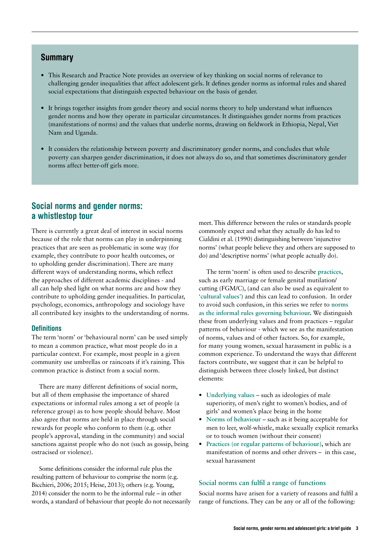## Summary

- **•** This Research and Practice Note provides an overview of key thinking on social norms of relevance to challenging gender inequalities that affect adolescent girls. It defines gender norms as informal rules and shared social expectations that distinguish expected behaviour on the basis of gender.
- **•** It brings together insights from gender theory and social norms theory to help understand what influences gender norms and how they operate in particular circumstances. It distinguishes gender norms from practices (manifestations of norms) and the values that underlie norms, drawing on fieldwork in Ethiopia, Nepal, Viet Nam and Uganda.
- **•** It considers the relationship between poverty and discriminatory gender norms, and concludes that while poverty can sharpen gender discrimination, it does not always do so, and that sometimes discriminatory gender norms affect better-off girls more.

## Social norms and gender norms: a whistlestop tour

There is currently a great deal of interest in social norms because of the role that norms can play in underpinning practices that are seen as problematic in some way (for example, they contribute to poor health outcomes, or to upholding gender discrimination). There are many different ways of understanding norms, which reflect the approaches of different academic disciplines - and all can help shed light on what norms are and how they contribute to upholding gender inequalities. In particular, psychology, economics, anthropology and sociology have all contributed key insights to the understanding of norms.

#### **Definitions**

The term 'norm' or 'behavioural norm' can be used simply to mean a common practice, what most people do in a particular context. For example, most people in a given community use umbrellas or raincoats if it's raining. This common practice is distinct from a social norm.

There are many different definitions of social norm, but all of them emphasise the importance of shared expectations or informal rules among a set of people (a reference group) as to how people should behave. Most also agree that norms are held in place through social rewards for people who conform to them (e.g. other people's approval, standing in the community) and social sanctions against people who do not (such as gossip, being ostracised or violence).

Some definitions consider the informal rule plus the resulting pattern of behaviour to comprise the norm (e.g. Bicchieri, 2006; 2015; Heise, 2013); others (e.g. Young, 2014) consider the norm to be the informal rule – in other words, a standard of behaviour that people do not necessarily meet. This difference between the rules or standards people commonly expect and what they actually do has led to Cialdini et al. (1990) distinguishing between 'injunctive norms' (what people believe they and others are supposed to do) and 'descriptive norms' (what people actually do).

The term 'norm' is often used to describe **practices**, such as early marriage or female genital mutilation/ cutting (FGM/C), (and can also be used as equivalent to **'cultural values'**) and this can lead to confusion. In order to avoid such confusion, in this series we refer to **norms as the informal rules governing behaviour.** We distinguish these from underlying values and from practices – regular patterns of behaviour - which we see as the manifestation of norms, values and of other factors. So, for example, for many young women, sexual harassment in public is a common experience. To understand the ways that different factors contribute, we suggest that it can be helpful to distinguish between three closely linked, but distinct elements:

- **• Underlying values** such as ideologies of male superiority, of men's right to women's bodies, and of girls' and women's place being in the home
- **• Norms of behaviour** such as it being acceptable for men to leer, wolf-whistle, make sexually explicit remarks or to touch women (without their consent)
- **• Practices (or regular patterns of behaviour),** which are manifestation of norms and other drivers – in this case, sexual harassment

#### **Social norms can fulfil a range of functions**

Social norms have arisen for a variety of reasons and fulfil a range of functions. They can be any or all of the following: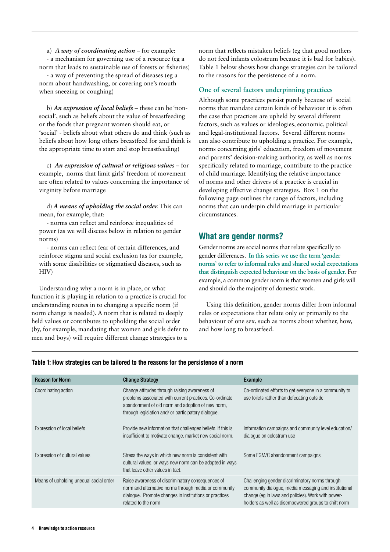a) *A way of coordinating action* – for example: - a mechanism for governing use of a resource (eg a norm that leads to sustainable use of forests or fisheries) - a way of preventing the spread of diseases (eg a norm about handwashing, or covering one's mouth when sneezing or coughing)

b) *An expression of local beliefs* – these can be 'nonsocial', such as beliefs about the value of breastfeeding or the foods that pregnant women should eat, or 'social' - beliefs about what others do and think (such as beliefs about how long others breastfeed for and think is the appropriate time to start and stop breastfeeding)

c) *An expression of cultural or religious values* – for example, norms that limit girls' freedom of movement are often related to values concerning the importance of virginity before marriage

d) *A means of upholding the social order.* This can mean, for example, that:

- norms can reflect and reinforce inequalities of power (as we will discuss below in relation to gender norms)

- norms can reflect fear of certain differences, and reinforce stigma and social exclusion (as for example, with some disabilities or stigmatised diseases, such as HIV)

Understanding why a norm is in place, or what function it is playing in relation to a practice is crucial for understanding route**s** in to changing a specific norm (if norm change is needed). A norm that is related to deeply held values or contributes to upholding the social order (by, for example, mandating that women and girls defer to men and boys) will require different change strategies to a

norm that reflects mistaken beliefs (eg that good mothers do not feed infants colostrum because it is bad for babies). Table 1 below shows how change strategies can be tailored to the reasons for the persistence of a norm.

#### **One of several factors underpinning practices**

Although some practices persist purely because of social norms that mandate certain kinds of behaviour it is often the case that practices are upheld by several different factors, such as values or ideologies, economic, political and legal-institutional factors. Several different norms can also contribute to upholding a practice. For example, norms concerning girls' education, freedom of movement and parents' decision-making authority, as well as norms specifically related to marriage, contribute to the practice of child marriage. Identifying the relative importance of norms and other drivers of a practice is crucial in developing effective change strategies. Box 1 on the following page outlines the range of factors, including norms that can underpin child marriage in particular circumstances.

## What are gender norms?

Gender norms are social norms that relate specifically to gender differences. **In this series we use the term 'gender norms' to refer to informal rules and shared social expectations that distinguish expected behaviour on the basis of gender.** For example, a common gender norm is that women and girls will and should do the majority of domestic work.

Using this definition, gender norms differ from informal rules or expectations that relate only or primarily to the behaviour of one sex, such as norms about whether, how, and how long to breastfeed.

| <b>Change Strategy</b>                                                                                                                                                                                               | <b>Example</b>                                                                                                                                                                                                         |
|----------------------------------------------------------------------------------------------------------------------------------------------------------------------------------------------------------------------|------------------------------------------------------------------------------------------------------------------------------------------------------------------------------------------------------------------------|
| Change attitudes through raising awareness of<br>problems associated with current practices. Co-ordinate<br>abandonment of old norm and adoption of new norm,<br>through legislation and/ or participatory dialogue. | Co-ordinated efforts to get everyone in a community to<br>use toilets rather than defecating outside                                                                                                                   |
| Provide new information that challenges beliefs. If this is<br>insufficient to motivate change, market new social norm.                                                                                              | Information campaigns and community level education/<br>dialogue on colostrum use                                                                                                                                      |
| Stress the ways in which new norm is consistent with<br>cultural values, or ways new norm can be adopted in ways<br>that leave other values in tact.                                                                 | Some FGM/C abandonment campaigns                                                                                                                                                                                       |
| Raise awareness of discriminatory consequences of<br>norm and alternative norms through media or community<br>dialogue. Promote changes in institutions or practices<br>related to the norm                          | Challenging gender discriminatory norms through<br>community dialogue, media messaging and institutional<br>change (eg in laws and policies). Work with power-<br>holders as well as disempowered groups to shift norm |
|                                                                                                                                                                                                                      |                                                                                                                                                                                                                        |

#### Table 1: How strategies can be tailored to the reasons for the persistence of a norm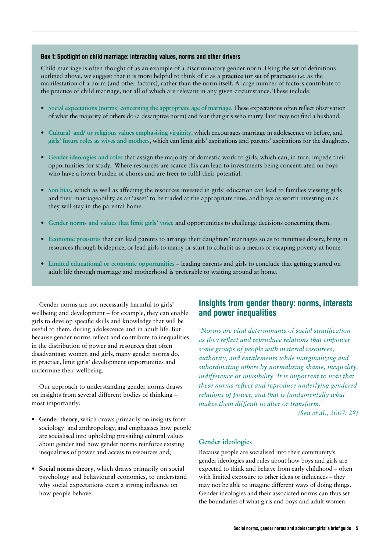#### Box 1: Spotlight on child marriage: interacting values, norms and other drivers

Child marriage is often thought of as an example of a discriminatory gender norm. Using the set of definitions outlined above, we suggest that it is more helpful to think of it as a **practice (or set of practices**) i.e. as the manifestation of a norm (and other factors), rather than the norm itself**.** A large number of factors contribute to the practice of child marriage, not all of which are relevant in any given circumstance. These include:

- **•** S**ocial expectations (norms) concerning the appropriate age of marriage**. These expectations often reflect observation of what the majority of others do (a descriptive norm) and fear that girls who marry 'late' may not find a husband.
- **• Cultural and/ or religious values emphasising virginity**, which encourages marriage in adolescence or before, and **girls' future roles as wives and mothers**, which can limit girls' aspirations and parents' aspirations for the daughters.
- **•** G**ender ideologies and roles** that assign the majority of domestic work to girls, which can, in turn, impede their opportunities for study. Where resources are scarce this can lead to investments being concentrated on boys who have a lower burden of chores and are freer to fulfil their potential.
- **• Son bias,** which as well as affecting the resources invested in girls' education can lead to families viewing girls and their marriageability as an 'asset' to be traded at the appropriate time, and boys as worth investing in as they will stay in the parental home.
- **• Gender norms and values that limit girls' voice** and opportunities to challenge decisions concerning them.
- **• Economic pressures** that can lead parents to arrange their daughters' marriages so as to minimise dowry, bring in resources through brideprice, or lead girls to marry or start to cohabit as a means of escaping poverty at home.
- **• Limited educational or economic opportunities** leading parents and girls to conclude that getting started on adult life through marriage and motherhood is preferable to waiting around at home.

Gender norms are not necessarily harmful to girls' wellbeing and development – for example, they can enable girls to develop specific skills and knowledge that will be useful to them, during adolescence and in adult life. But because gender norms reflect and contribute to inequalities in the distribution of power and resources that often disadvantage women and girls, many gender norms do, in practice, limit girls' development opportunities and undermine their wellbeing.

Our approach to understanding gender norms draws on insights from several different bodies of thinking – most importantly:

- **• Gender theory**, which draws primarily on insights from sociology and anthropology, and emphasises how people are socialised into upholding prevailing cultural values about gender and how gender norms reinforce existing inequalities of power and access to resources and;
- **• Social norms theory**, which draws primarily on social psychology and behavioural economics, to understand why social expectations exert a strong influence on how people behave.

# Insights from gender theory: norms, interests and power inequalities

*'Norms are vital determinants of social stratification as they reflect and reproduce relations that empower some groups of people with material resources, authority, and entitlements while marginalizing and subordinating others by normalizing shame, inequality, indifference or invisibility. It is important to note that these norms reflect and reproduce underlying gendered relations of power, and that is fundamentally what makes them difficult to alter or transform.'* 

 *(Sen et al., 2007: 28)*

#### **Gender ideologies**

Because people are socialised into their community's gender ideologies and rules about how boys and girls are expected to think and behave from early childhood – often with limited exposure to other ideas or influences – they may not be able to imagine different ways of doing things. Gender ideologies and their associated norms can thus set the boundaries of what girls and boys and adult women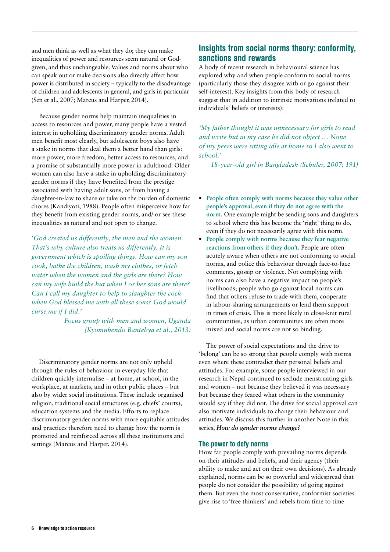and men think as well as what they do; they can make inequalities of power and resources seem natural or Godgiven, and thus unchangeable. Values and norms about who can speak out or make decisions also directly affect how power is distributed in society – typically to the disadvantage of children and adolescents in general, and girls in particular (Sen et al., 2007; Marcus and Harper, 2014).

Because gender norms help maintain inequalities in access to resources and power, many people have a vested interest in upholding discriminatory gender norms. Adult men benefit most clearly, but adolescent boys also have a stake in norms that deal them a better hand than girls: more power, more freedom, better access to resources, and a promise of substantially more power in adulthood. Older women can also have a stake in upholding discriminatory gender norms if they have benefited from the prestige associated with having adult sons, or from having a daughter-in-law to share or take on the burden of domestic chores (Kandiyoti, 1988). People often misperceive how far they benefit from existing gender norms, and/ or see these inequalities as natural and not open to change.

*'God created us differently, the men and the women. That's why culture also treats us differently. It is government which is spoiling things. How can my son cook, bathe the children, wash my clothes, or fetch water when the women and the girls are there? How can my wife build the hut when I or her sons are there? Can I call my daughter to help to slaughter the cock when God blessed me with all these sons? God would curse me if I did.'* 

> *Focus group with men and women, Uganda (Kyomuhendo Bantebya et al., 2013)*

Discriminatory gender norms are not only upheld through the rules of behaviour in everyday life that children quickly internalise – at home, at school, in the workplace, at markets, and in other public places – but also by wider social institutions. These include organised religion, traditional social structures (e.g. chiefs' courts), education systems and the media. Efforts to replace discriminatory gender norms with more equitable attitudes and practices therefore need to change how the norm is promoted and reinforced across all these institutions and settings (Marcus and Harper, 2014).

# Insights from social norms theory: conformity, sanctions and rewards

A body of recent research in behavioural science has explored why and when people conform to social norms (particularly those they disagree with or go against their self-interest). Key insights from this body of research suggest that in addition to intrinsic motivations (related to individuals' beliefs or interests):

*'My father thought it was unnecessary for girls to read and write but in my case he did not object … None of my peers were sitting idle at home so I also went to school.'* 

*18-year-old girl in Bangladesh (Schuler, 2007: 191)*

- **• People often comply with norms because they value other people's approval, even if they do not agree with the norm.** One example might be sending sons and daughters to school where this has become the 'right' thing to do, even if they do not necessarily agree with this norm.
- **• People comply with norms because they fear negative reactions from others if they don't.** People are often acutely aware when others are not conforming to social norms, and police this behaviour through face-to-face comments, gossip or violence. Not complying with norms can also have a negative impact on people's livelihoods; people who go against local norms can find that others refuse to trade with them, cooperate in labour-sharing arrangements or lend them support in times of crisis. This is more likely in close-knit rural communities, as urban communities are often more mixed and social norms are not so binding.

The power of social expectations and the drive to 'belong' can be so strong that people comply with norms even where these contradict their personal beliefs and attitudes. For example, some people interviewed in our research in Nepal continued to seclude menstruating girls and women – not because they believed it was necessary but because they feared what others in the community would say if they did not. The drive for social approval can also motivate individuals to change their behaviour and attitudes. We discuss this further in another Note in this series, *[How do gender norms change?](http://www.odi.org/publications/9805-gender-norms-change)* 

#### The power to defy norms

How far people comply with prevailing norms depends on their attitudes and beliefs, and their agency (their ability to make and act on their own decisions). As already explained, norms can be so powerful and widespread that people do not consider the possibility of going against them. But even the most conservative, conformist societies give rise to 'free thinkers' and rebels from time to time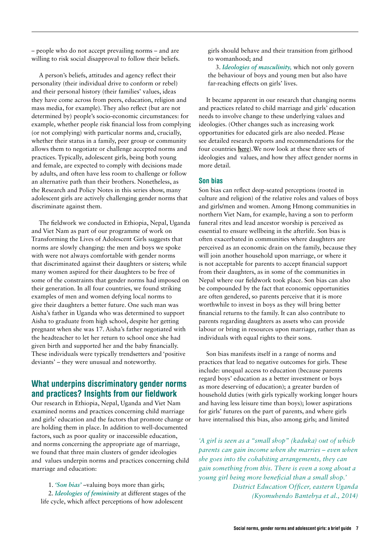– people who do not accept prevailing norms – and are willing to risk social disapproval to follow their beliefs.

A person's beliefs, attitudes and agency reflect their personality (their individual drive to conform or rebel) and their personal history (their families' values, ideas they have come across from peers, education, religion and mass media, for example). They also reflect (but are not determined by) people's socio-economic circumstances: for example, whether people risk financial loss from complying (or not complying) with particular norms and, crucially, whether their status in a family, peer group or community allows them to negotiate or challenge accepted norms and practices. Typically, adolescent girls, being both young and female, are expected to comply with decisions made by adults, and often have less room to challenge or follow an alternative path than their brothers. Nonetheless, as the Research and Policy Notes in this series show, many adolescent girls are actively challenging gender norms that discriminate against them.

The fieldwork we conducted in Ethiopia, Nepal, Uganda and Viet Nam as part of our programme of work on Transforming the Lives of Adolescent Girls suggests that norms are slowly changing: the men and boys we spoke with were not always comfortable with gender norms that discriminated against their daughters or sisters; while many women aspired for their daughters to be free of some of the constraints that gender norms had imposed on their generation. In all four countries, we found striking examples of men and women defying local norms to give their daughters a better future. One such man was Aisha's father in Uganda who was determined to support Aisha to graduate from high school, despite her getting pregnant when she was 17. Aisha's father negotiated with the headteacher to let her return to school once she had given birth and supported her and the baby financially. These individuals were typically trendsetters and 'positive deviants' – they were unusual and noteworthy.

# What underpins discriminatory gender norms and practices? Insights from our fieldwork

Our research in Ethiopia, Nepal, Uganda and Viet Nam examined norms and practices concerning child marriage and girls' education and the factors that promote change or are holding them in place. In addition to well-documented factors, such as poor quality or inaccessible education, and norms concerning the appropriate age of marriage, we found that three main clusters of gender ideologies and values underpin norms and practices concerning child marriage and education:

1. *'Son bias'* –valuing boys more than girls; 2. *Ideologies of femininity* at different stages of the life cycle, which affect perceptions of how adolescent

girls should behave and their transition from girlhood to womanhood; and

3. *Ideologies of masculinity,* which not only govern the behaviour of boys and young men but also have far-reaching effects on girls' lives.

It became apparent in our research that changing norms and practices related to child marriage and girls' education needs to involve change to these underlying values and ideologies. (Other changes such as increasing work opportunities for educated girls are also needed. Please see detailed research reports and recommendations for the four countries **[here](http://www.odi.org/projects/2590-discrimination-social-institutions-girls-young-women-adolescence)**).We now look at these three sets of ideologies and values, and how they affect gender norms in more detail.

## Son bias

Son bias can reflect deep-seated perceptions (rooted in culture and religion) of the relative roles and values of boys and girls/men and women. Among Hmong communities in northern Viet Nam, for example, having a son to perform funeral rites and lead ancestor worship is perceived as essential to ensure wellbeing in the afterlife. Son bias is often exacerbated in communities where daughters are perceived as an economic drain on the family, because they will join another household upon marriage, or where it is not acceptable for parents to accept financial support from their daughters, as in some of the communities in Nepal where our fieldwork took place. Son bias can also be compounded by the fact that economic opportunities are often gendered, so parents perceive that it is more worthwhile to invest in boys as they will bring better financial returns to the family. It can also contribute to parents regarding daughters as assets who can provide labour or bring in resources upon marriage, rather than as individuals with equal rights to their sons.

Son bias manifests itself in a range of norms and practices that lead to negative outcomes for girls. These include: unequal access to education (because parents regard boys' education as a better investment or boys as more deserving of education); a greater burden of household duties (with girls typically working longer hours and having less leisure time than boys); lower aspirations for girls' futures on the part of parents, and where girls have internalised this bias, also among girls; and limited

*'A girl is seen as a "small shop" (kaduka) out of which parents can gain income when she marries – even when she goes into the cohabiting arrangements, they can gain something from this. There is even a song about a young girl being more beneficial than a small shop.' District Education Officer, eastern Uganda (Kyomuhendo Bantebya et al., 2014)*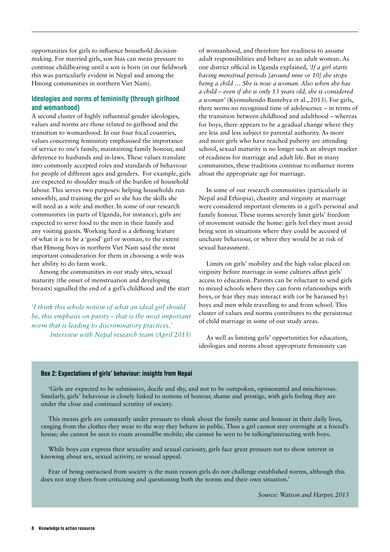opportunities for girls to influence household decisionmaking. For married girls, son bias can mean pressure to continue childbearing until a son is born (in our fieldwork this was particularly evident in Nepal and among the Hmong communities in northern Viet Nam).

## Ideologies and norms of femininity (through girlhood and womanhood)

A second cluster of highly influential gender ideologies, values and norms are those related to girlhood and the transition to womanhood. In our four focal countries, values concerning femininity emphasised the importance of service to one's family, maintaining family honour, and deference to husbands and in-laws. These values translate into commonly accepted roles and standards of behaviour for people of different ages and genders. For example, girls are expected to shoulder much of the burden of household labour. This serves two purposes: helping households run smoothly, and training the girl so she has the skills she will need as a wife and mother. In some of our research communities (in parts of Uganda, for instance), girls are expected to serve food to the men in their family and any visiting guests. Working hard is a defining feature of what it is to be a 'good' girl or woman, to the extent that Hmong boys in northern Viet Nam said the most important consideration for them in choosing a wife was her ability to do farm work.

Among the communities in our study sites, sexual maturity (the onset of menstruation and developing breasts) signalled the end of a girl's childhood and the start

*'I think this whole notion of what an ideal girl should be, this emphasis on purity – that is the most important norm that is leading to discriminatory practices.' Interview with Nepal research team (April 2015)*

of womanhood, and therefore her readiness to assume adult responsibilities and behave as an adult woman. As one district official in Uganda explained, *'If a girl starts having menstrual periods [around nine or 10] she stops being a child … She is now a woman. Also when she has a child – even if she is only 13 years old, she is considered a woman'* (Kyomuhendo Bantebya et al., 2013). For girls, there seems no recognised time of adolescence – in terms of the transition between childhood and adulthood – whereas for boys, there appears to be a gradual change where they are less and less subject to parental authority. As more and more girls who have reached puberty are attending school, sexual maturity is no longer such an abrupt marker of readiness for marriage and adult life. But in many communities, these traditions continue to influence norms about the appropriate age for marriage.

In some of our research communities (particularly in Nepal and Ethiopia), chastity and virginity at marriage were considered important elements in a girl's personal and family honour. These norms severely limit girls' freedom of movement outside the home: girls feel they must avoid being seen in situations where they could be accused of unchaste behaviour, or where they would be at risk of sexual harassment.

Limits on girls' mobility and the high value placed on virginity before marriage in some cultures affect girls' access to education. Parents can be reluctant to send girls to mixed schools where they can form relationships with boys, or fear they may interact with (or be harassed by) boys and men while travelling to and from school. This cluster of values and norms contributes to the persistence of child marriage in some of our study areas.

As well as limiting girls' opportunities for education, ideologies and norms about appropriate femininity can

#### Box 2: Expectations of girls' behaviour: insights from Nepal

'Girls are expected to be submissive, docile and shy, and not to be outspoken, opinionated and mischievous. Similarly, girls' behaviour is closely linked to notions of honour, shame and prestige, with girls feeling they are under the close and continued scrutiny of society.

This means girls are constantly under pressure to think about the family name and honour in their daily lives, ranging from the clothes they wear to the way they behave in public. Thus a girl cannot stay overnight at a friend's house; she cannot be seen to roam around/be mobile; she cannot be seen to be talking/interacting with boys.

While boys can express their sexuality and sexual curiosity, girls face great pressure not to show interest in knowing about sex, sexual activity, or sexual appeal.

Fear of being ostracised from society is the main reason girls do not challenge established norms, although this does not stop them from criticising and questioning both the norms and their own situation.'

*Source: Watson and Harper, 2013*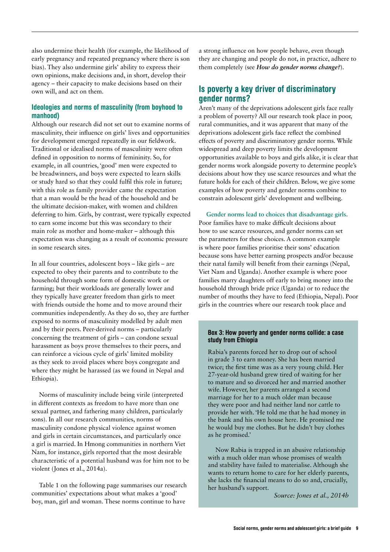also undermine their health (for example, the likelihood of early pregnancy and repeated pregnancy where there is son bias). They also undermine girls' ability to express their own opinions, make decisions and, in short, develop their agency – their capacity to make decisions based on their own will, and act on them.

## Ideologies and norms of masculinity (from boyhood to manhood)

Although our research did not set out to examine norms of masculinity, their influence on girls' lives and opportunities for development emerged repeatedly in our fieldwork. Traditional or idealised norms of masculinity were often defined in opposition to norms of femininity. So, for example, in all countries, 'good' men were expected to be breadwinners, and boys were expected to learn skills or study hard so that they could fulfil this role in future; with this role as family provider came the expectation that a man would be the head of the household and be the ultimate decision-maker, with women and children deferring to him. Girls, by contrast, were typically expected to earn some income but this was secondary to their main role as mother and home-maker – although this expectation was changing as a result of economic pressure in some research sites.

In all four countries, adolescent boys – like girls – are expected to obey their parents and to contribute to the household through some form of domestic work or farming; but their workloads are generally lower and they typically have greater freedom than girls to meet with friends outside the home and to move around their communities independently. As they do so, they are further exposed to norms of masculinity modelled by adult men and by their peers. Peer-derived norms – particularly concerning the treatment of girls – can condone sexual harassment as boys prove themselves to their peers, and can reinforce a vicious cycle of girls' limited mobility as they seek to avoid places where boys congregate and where they might be harassed (as we found in Nepal and Ethiopia).

Norms of masculinity include being virile (interpreted in different contexts as freedom to have more than one sexual partner, and fathering many children, particularly sons). In all our research communities, norms of masculinity condone physical violence against women and girls in certain circumstances, and particularly once a girl is married. In Hmong communities in northern Viet Nam, for instance, girls reported that the most desirable characteristic of a potential husband was for him not to be violent (Jones et al., 2014a).

Table 1 on the following page summarises our research communities' expectations about what makes a 'good' boy, man, girl and woman. These norms continue to have

a strong influence on how people behave, even though they are changing and people do not, in practice, adhere to them completely (see *[How do gender norms change?](http://www.odi.org/publications/9805-how-gender-norms-change)*).

# Is poverty a key driver of discriminatory gender norms?

Aren't many of the deprivations adolescent girls face really a problem of poverty? All our research took place in poor, rural communities, and it was apparent that many of the deprivations adolescent girls face reflect the combined effects of poverty and discriminatory gender norms. While widespread and deep poverty limits the development opportunities available to boys and girls alike, it is clear that gender norms work alongside poverty to determine people's decisions about how they use scarce resources and what the future holds for each of their children. Below, we give some examples of how poverty and gender norms combine to constrain adolescent girls' development and wellbeing.

**Gender norms lead to choices that disadvantage girls.**  Poor families have to make difficult decisions about how to use scarce resources, and gender norms can set the parameters for these choices. A common example is where poor families prioritise their sons' education because sons have better earning prospects and/or because their natal family will benefit from their earnings (Nepal, Viet Nam and Uganda). Another example is where poor families marry daughters off early to bring money into the household through bride price (Uganda) or to reduce the number of mouths they have to feed (Ethiopia, Nepal). Poor girls in the countries where our research took place and

#### Box 3: How poverty and gender norms collide: a case study from Ethiopia

Rabia's parents forced her to drop out of school in grade 3 to earn money. She has been married twice; the first time was as a very young child. Her 27-year-old husband grew tired of waiting for her to mature and so divorced her and married another wife. However, her parents arranged a second marriage for her to a much older man because they were poor and had neither land nor cattle to provide her with. 'He told me that he had money in the bank and his own house here. He promised me he would buy me clothes. But he didn't buy clothes as he promised.'

Now Rabia is trapped in an abusive relationship with a much older man whose promises of wealth and stability have failed to materialise. Although she wants to return home to care for her elderly parents, she lacks the financial means to do so and, crucially, her husband's support.

*Source: Jones et al., 2014b*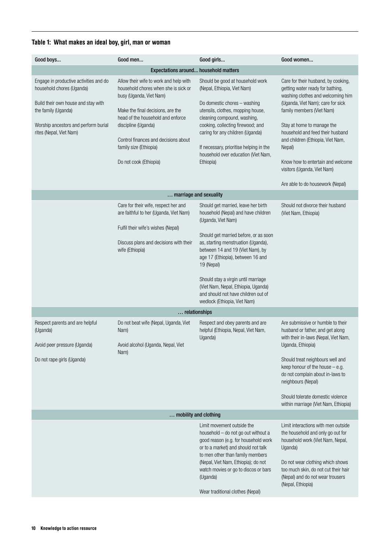## Table 1: What makes an ideal boy, girl, man or woman

| Good boys                                                                                                                                                                                            | Good men                                                                                                                                                                                                                                                                                               | Good girls                                                                                                                                                                                                                                                                                                                                                                                                                   | Good women                                                                                                                                                                                                                                                                                                                                                                                              |
|------------------------------------------------------------------------------------------------------------------------------------------------------------------------------------------------------|--------------------------------------------------------------------------------------------------------------------------------------------------------------------------------------------------------------------------------------------------------------------------------------------------------|------------------------------------------------------------------------------------------------------------------------------------------------------------------------------------------------------------------------------------------------------------------------------------------------------------------------------------------------------------------------------------------------------------------------------|---------------------------------------------------------------------------------------------------------------------------------------------------------------------------------------------------------------------------------------------------------------------------------------------------------------------------------------------------------------------------------------------------------|
|                                                                                                                                                                                                      | <b>Expectations around household matters</b>                                                                                                                                                                                                                                                           |                                                                                                                                                                                                                                                                                                                                                                                                                              |                                                                                                                                                                                                                                                                                                                                                                                                         |
| Engage in productive activities and do<br>household chores (Uganda)<br>Build their own house and stay with<br>the family (Uganda)<br>Worship ancestors and perform burial<br>rites (Nepal, Viet Nam) | Allow their wife to work and help with<br>household chores when she is sick or<br>busy (Uganda, Viet Nam)<br>Make the final decisions, are the<br>head of the household and enforce<br>discipline (Uganda)<br>Control finances and decisions about<br>family size (Ethiopia)<br>Do not cook (Ethiopia) | Should be good at household work<br>(Nepal, Ethiopia, Viet Nam)<br>Do domestic chores - washing<br>utensils, clothes, mopping house,<br>cleaning compound, washing,<br>cooking, collecting firewood; and<br>caring for any children (Uganda)<br>If necessary, prioritise helping in the<br>household over education (Viet Nam,<br>Ethiopia)                                                                                  | Care for their husband, by cooking,<br>getting water ready for bathing,<br>washing clothes and welcoming him<br>(Uganda, Viet Nam); care for sick<br>family members (Viet Nam)<br>Stay at home to manage the<br>household and feed their husband<br>and children (Ethiopia, Viet Nam,<br>Nepal)<br>Know how to entertain and welcome<br>visitors (Uganda, Viet Nam)<br>Are able to do housework (Nepal) |
|                                                                                                                                                                                                      | marriage and sexuality                                                                                                                                                                                                                                                                                 |                                                                                                                                                                                                                                                                                                                                                                                                                              |                                                                                                                                                                                                                                                                                                                                                                                                         |
|                                                                                                                                                                                                      | Care for their wife, respect her and<br>are faithful to her (Uganda, Viet Nam)<br>Fulfil their wife's wishes (Nepal)<br>Discuss plans and decisions with their<br>wife (Ethiopia)                                                                                                                      | Should get married, leave her birth<br>household (Nepal) and have children<br>(Uganda, Viet Nam)<br>Should get married before, or as soon<br>as, starting menstruation (Uganda),<br>between 14 and 19 (Viet Nam), by<br>age 17 (Ethiopia), between 16 and<br>19 (Nepal)<br>Should stay a virgin until marriage<br>(Viet Nam, Nepal, Ethiopia, Uganda)<br>and should not have children out of<br>wedlock (Ethiopia, Viet Nam) | Should not divorce their husband<br>(Viet Nam, Ethiopia)                                                                                                                                                                                                                                                                                                                                                |
|                                                                                                                                                                                                      | relationships                                                                                                                                                                                                                                                                                          |                                                                                                                                                                                                                                                                                                                                                                                                                              |                                                                                                                                                                                                                                                                                                                                                                                                         |
| Respect parents and are helpful<br>(Uganda)<br>Avoid peer pressure (Uganda)<br>Do not rape girls (Uganda)                                                                                            | Do not beat wife (Nepal, Uganda, Viet<br>Nam)<br>Avoid alcohol (Uganda, Nepal, Viet<br>Nam)                                                                                                                                                                                                            | Respect and obey parents and are<br>helpful (Ethiopia, Nepal, Viet Nam,<br>Uganda)                                                                                                                                                                                                                                                                                                                                           | Are submissive or humble to their<br>husband or father, and get along<br>with their in-laws (Nepal, Viet Nam,<br>Uganda, Ethiopia)<br>Should treat neighbours well and<br>keep honour of the house $-$ e.g.<br>do not complain about in-laws to<br>neighbours (Nepal)<br>Should tolerate domestic violence<br>within marriage (Viet Nam, Ethiopia)                                                      |
|                                                                                                                                                                                                      | mobility and clothing                                                                                                                                                                                                                                                                                  |                                                                                                                                                                                                                                                                                                                                                                                                                              |                                                                                                                                                                                                                                                                                                                                                                                                         |
|                                                                                                                                                                                                      |                                                                                                                                                                                                                                                                                                        | Limit movement outside the<br>household - do not go out without a<br>good reason (e.g. for household work<br>or to a market) and should not talk<br>to men other than family members<br>(Nepal, Viet Nam, Ethiopia); do not<br>watch movies or go to discos or bars<br>(Uganda)<br>Wear traditional clothes (Nepal)                                                                                                          | Limit interactions with men outside<br>the household and only go out for<br>household work (Viet Nam, Nepal,<br>Uganda)<br>Do not wear clothing which shows<br>too much skin, do not cut their hair<br>(Nepal) and do not wear trousers<br>(Nepal, Ethiopia)                                                                                                                                            |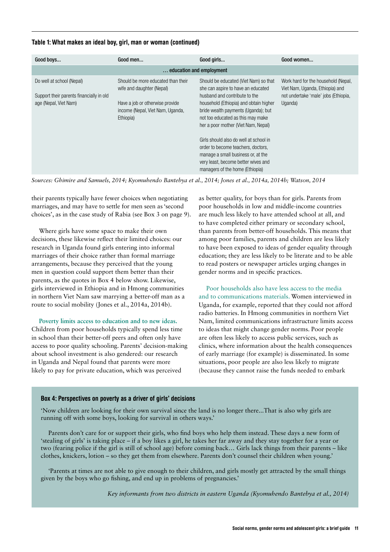#### Table 1: What makes an ideal boy, girl, man or woman (continued)

| Good boys                                                                                      | Good men                                                                                                                                            | Good girls                                                                                                                                                                                                                                                                                                                                                                                                                                                                | Good women                                                                                                                |  |  |
|------------------------------------------------------------------------------------------------|-----------------------------------------------------------------------------------------------------------------------------------------------------|---------------------------------------------------------------------------------------------------------------------------------------------------------------------------------------------------------------------------------------------------------------------------------------------------------------------------------------------------------------------------------------------------------------------------------------------------------------------------|---------------------------------------------------------------------------------------------------------------------------|--|--|
| education and employment                                                                       |                                                                                                                                                     |                                                                                                                                                                                                                                                                                                                                                                                                                                                                           |                                                                                                                           |  |  |
| Do well at school (Nepal)<br>Support their parents financially in old<br>age (Nepal, Viet Nam) | Should be more educated than their<br>wife and daughter (Nepal)<br>Have a job or otherwise provide<br>income (Nepal, Viet Nam, Uganda,<br>Ethiopia) | Should be educated (Viet Nam) so that<br>she can aspire to have an educated<br>husband and contribute to the<br>household (Ethiopia) and obtain higher<br>bride wealth payments (Uganda); but<br>not too educated as this may make<br>her a poor mother (Viet Nam, Nepal)<br>Girls should also do well at school in<br>order to become teachers, doctors,<br>manage a small business or, at the<br>very least, become better wives and<br>managers of the home (Ethiopia) | Work hard for the household (Nepal,<br>Viet Nam, Uganda, Ethiopia) and<br>not undertake 'male' jobs (Ethiopia,<br>Uganda) |  |  |

*Sources: Ghimire and Samuels, 2014; Kyomuhendo Bantebya et al., 2014; Jones et al., 2014a, 2014b; Watson, 2014*

their parents typically have fewer choices when negotiating marriages, and may have to settle for men seen as 'second choices', as in the case study of Rabia (see Box 3 on page 9).

Where girls have some space to make their own decisions, these likewise reflect their limited choices: our research in Uganda found girls entering into informal marriages of their choice rather than formal marriage arrangements, because they perceived that the young men in question could support them better than their parents, as the quotes in Box 4 below show. Likewise, girls interviewed in Ethiopia and in Hmong communities in northern Viet Nam saw marrying a better-off man as a route to social mobility (Jones et al., 2014a, 2014b).

**Poverty limits access to education and to new ideas.**  Children from poor households typically spend less time in school than their better-off peers and often only have access to poor quality schooling. Parents' decision-making about school investment is also gendered: our research in Uganda and Nepal found that parents were more likely to pay for private education, which was perceived

as better quality, for boys than for girls. Parents from poor households in low and middle-income countries are much less likely to have attended school at all, and to have completed either primary or secondary school, than parents from better-off households. This means that among poor families, parents and children are less likely to have been exposed to ideas of gender equality through education; they are less likely to be literate and to be able to read posters or newspaper articles urging changes in gender norms and in specific practices.

#### Poor households also have less access to the media

and to communications materials. Women interviewed in Uganda, for example, reported that they could not afford radio batteries. In Hmong communities in northern Viet Nam, limited communications infrastructure limits access to ideas that might change gender norms. Poor people are often less likely to access public services, such as clinics, where information about the health consequences of early marriage (for example) is disseminated. In some situations, poor people are also less likely to migrate (because they cannot raise the funds needed to embark

#### Box 4: Perspectives on poverty as a driver of girls' decisions

'Now children are looking for their own survival since the land is no longer there...That is also why girls are running off with some boys, looking for survival in others ways.'

Parents don't care for or support their girls, who find boys who help them instead. These days a new form of 'stealing of girls' is taking place – if a boy likes a girl, he takes her far away and they stay together for a year or two (fearing police if the girl is still of school age) before coming back… Girls lack things from their parents – like clothes, knickers, lotion – so they get them from elsewhere. Parents don't counsel their children when young.'

'Parents at times are not able to give enough to their children, and girls mostly get attracted by the small things given by the boys who go fishing, and end up in problems of pregnancies.'

*Key informants from two districts in eastern Uganda (Kyomuhendo Bantebya et al., 2014)*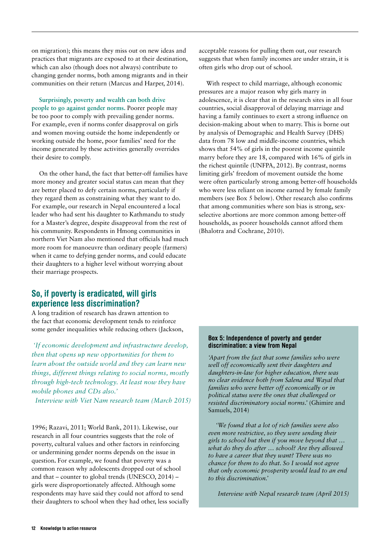on migration); this means they miss out on new ideas and practices that migrants are exposed to at their destination, which can also (though does not always) contribute to changing gender norms, both among migrants and in their communities on their return (Marcus and Harper, 2014).

**Surprisingly, poverty and wealth can both drive people to go against gender norms.** Poorer people may be too poor to comply with prevailing gender norms. For example, even if norms confer disapproval on girls and women moving outside the home independently or working outside the home, poor families' need for the income generated by these activities generally overrides their desire to comply.

On the other hand, the fact that better-off families have more money and greater social status can mean that they are better placed to defy certain norms, particularly if they regard them as constraining what they want to do. For example, our research in Nepal encountered a local leader who had sent his daughter to Kathmandu to study for a Master's degree, despite disapproval from the rest of his community. Respondents in Hmong communities in northern Viet Nam also mentioned that officials had much more room for manoeuvre than ordinary people (farmers) when it came to defying gender norms, and could educate their daughters to a higher level without worrying about their marriage prospects.

# So, if poverty is eradicated, will girls experience less discrimination?

A long tradition of research has drawn attention to the fact that economic development tends to reinforce some gender inequalities while reducing others (Jackson,

 *'If economic development and infrastructure develop, then that opens up new opportunities for them to learn about the outside world and they can learn new things, different things relating to social norms, mostly through high-tech technology. At least now they have mobile phones and CDs also.'* 

*Interview with Viet Nam research team (March 2015)*

1996; Razavi, 2011; World Bank, 2011). Likewise, our research in all four countries suggests that the role of poverty, cultural values and other factors in reinforcing or undermining gender norms depends on the issue in question**.** For example, we found that poverty was a common reason why adolescents dropped out of school and that – counter to global trends (UNESCO, 2014) – girls were disproportionately affected. Although some respondents may have said they could not afford to send their daughters to school when they had other, less socially acceptable reasons for pulling them out, our research suggests that when family incomes are under strain, it is often girls who drop out of school.

With respect to child marriage, although economic pressures are a major reason why girls marry in adolescence, it is clear that in the research sites in all four countries, social disapproval of delaying marriage and having a family continues to exert a strong influence on decision-making about when to marry. This is borne out by analysis of Demographic and Health Survey (DHS) data from 78 low and middle-income countries, which shows that 54% of girls in the poorest income quintile marry before they are 18, compared with 16% of girls in the richest quintile (UNFPA, 2012). By contrast, norms limiting girls' freedom of movement outside the home were often particularly strong among better-off households who were less reliant on income earned by female family members (see Box 5 below). Other research also confirms that among communities where son bias is strong, sexselective abortions are more common among better-off households, as poorer households cannot afford them (Bhalotra and Cochrane, 2010).

#### Box 5: Independence of poverty and gender discrimination: a view from Nepal

*'Apart from the fact that some families who were well off economically sent their daughters and daughters-in-law for higher education, there was no clear evidence both from Salena and Wayal that families who were better off economically or in political status were the ones that challenged or resisted discriminatory social norms.'* (Ghimire and Samuels, 2014)

*'We found that a lot of rich families were also even more restrictive, so they were sending their girls to school but then if you move beyond that … what do they do after … school? Are they allowed to have a career that they want? There was no chance for them to do that. So I would not agree that only economic prosperity would lead to an end to this discrimination.'*

*Interview with Nepal research team (April 2015)*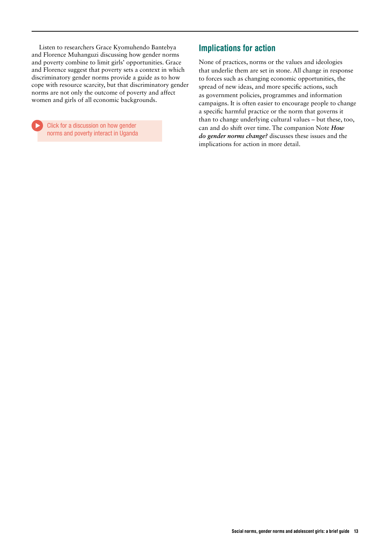Listen to researchers Grace Kyomuhendo Bantebya and Florence Muhanguzi discussing how gender norms and poverty combine to limit girls' opportunities. Grace and Florence suggest that poverty sets a context in which discriminatory gender norms provide a guide as to how cope with resource scarcity, but that discriminatory gender norms are not only the outcome of poverty and affect women and girls of all economic backgrounds.

Click for a discussion on how gender norms and poverty interact in Uganda

# Implications for action

None of practices, norms or the values and ideologies that underlie them are set in stone. All change in response to forces such as changing economic opportunities, the spread of new ideas, and more specific actions, such as government policies, programmes and information campaigns. It is often easier to encourage people to change a specific harmful practice or the norm that governs it than to change underlying cultural values – but these, too, can and do shift over time. The companion Note *[How](http://www.odi.org/publications/9805-gender-norms-change)  [do gender norms change?](http://www.odi.org/publications/9805-gender-norms-change)* discusses these issues and the implications for action in more detail.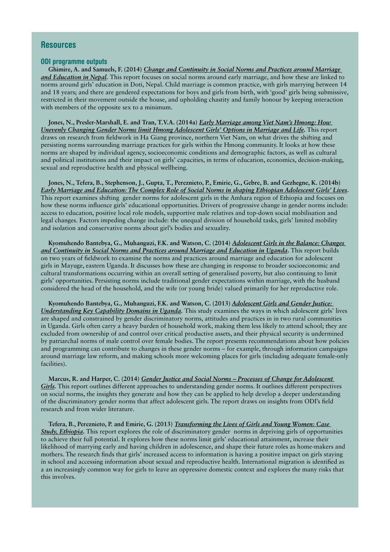## **Resources**

#### ODI programme outputs

**Ghimire, A. and Samuels, F. (2014)** *[Change and Continuity in Social Norms and Practices around Marriage](http://www.odi.org/sites/odi.org.uk/files/odi-assets/publications-opinion-files/9181.pdf)  [and Education in Nepal.](http://www.odi.org/sites/odi.org.uk/files/odi-assets/publications-opinion-files/9181.pdf)* This report focuses on social norms around early marriage, and how these are linked to norms around girls' education in Doti, Nepal. Child marriage is common practice, with girls marrying between 14 and 18 years; and there are gendered expectations for boys and girls from birth, with 'good' girls being submissive, restricted in their movement outside the house, and upholding chastity and family honour by keeping interaction with members of the opposite sex to a minimum.

**Jones, N., Presler-Marshall, E. and Tran, T.V.A. (2014a)** *[Early Marriage among Viet Nam's Hmong: How](http://www.odi.org/sites/odi.org.uk/files/odi-assets/publications-opinion-files/9182.pdf)  [Unevenly Changing Gender Norms limit Hmong Adolescent Girls' Options in Marriage and Life](http://www.odi.org/sites/odi.org.uk/files/odi-assets/publications-opinion-files/9182.pdf)***.** This report draws on research from fieldwork in Ha Giang province, northern Viet Nam, on what drives the shifting and persisting norms surrounding marriage practices for girls within the Hmong community. It looks at how these norms are shaped by individual agency, socioeconomic conditions and demographic factors, as well as cultural and political institutions and their impact on girls' capacities, in terms of education, economics, decision-making, sexual and reproductive health and physical wellbeing.

**Jones, N., Tefera, B., Stephenson, J., Gupta, T., Pereznieto, P., Emirie, G., Gebre, B. and Gezhegne, K. (2014b)** *[Early Marriage and Education: The Complex Role of Social Norms in shaping Ethiopian Adolescent Girls' Lives](http://www.odi.org/sites/odi.org.uk/files/odi-assets/publications-opinion-files/9183.pdf).* This report examines shifting gender norms for adolescent girls in the Amhara region of Ethiopia and focuses on how these norms influence girls' educational opportunities. Drivers of progressive change in gender norms include: access to education, positive local role models, supportive male relatives and top-down social mobilisation and legal changes. Factors impeding change include: the unequal division of household tasks, girls' limited mobility and isolation and conservative norms about girl's bodies and sexuality.

**Kyomuhendo Bantebya, G., Muhanguzi, F.K. and Watson, C. (2014)** *[Adolescent Girls in the Balance: Changes](http://www.odi.org/sites/odi.org.uk/files/odi-assets/publications-opinion-files/9180.pdf)  [and Continuity in Social Norms and Practices around Marriage and Education in Uganda](http://www.odi.org/sites/odi.org.uk/files/odi-assets/publications-opinion-files/9180.pdf)***.** This report builds on two years of fieldwork to examine the norms and practices around marriage and education for adolescent girls in Mayuge, eastern Uganda. It discusses how these are changing in response to broader socioeconomic and cultural transformations occurring within an overall setting of generalised poverty, but also continuing to limit girls' opportunities. Persisting norms include traditional gender expectations within marriage, with the husband considered the head of the household, and the wife (or young bride) valued primarily for her reproductive role.

**Kyomuhendo Bantebya, G., Muhanguzi, F.K. and Watson, C. (2013)** *[Adolescent Girls and Gender Justice:](http://www.odi.org/sites/odi.org.uk/files/odi-assets/publications-opinion-files/8822.pdf)  [Understanding Key Capability Domains in Uganda](http://www.odi.org/sites/odi.org.uk/files/odi-assets/publications-opinion-files/8822.pdf).* This study examines the ways in which adolescent girls' lives are shaped and constrained by gender discriminatory norms, attitudes and practices in in two rural communities in Uganda. Girls often carry a heavy burden of household work, making them less likely to attend school; they are excluded from ownership of and control over critical productive assets, and their physical security is undermined by patriarchal norms of male control over female bodies. The report presents recommendations about how policies and programming can contribute to changes in these gender norms – for example, through information campaigns around marriage law reform, and making schools more welcoming places for girls (including adequate female-only facilities).

**Marcus, R. and Harper, C. (2014)** *[Gender Justice and Social Norms – Processes of Change for Adolescent](http://www.odi.org/sites/odi.org.uk/files/odi-assets/publications-opinion-files/8831.pdf)  [Girls](http://www.odi.org/sites/odi.org.uk/files/odi-assets/publications-opinion-files/8831.pdf).* This report outlines different approaches to understanding gender norms. It outlines different perspectives on social norms, the insights they generate and how they can be applied to help develop a deeper understanding of the discriminatory gender norms that affect adolescent girls. The report draws on insights from ODI's field research and from wider literature.

**Tefera, B., Pereznieto, P. and Emirie, G. (2013)** *[Transforming the Lives of Girls and Young Women: Case](http://www.odi.org/sites/odi.org.uk/files/odi-assets/publications-opinion-files/8820.pdf)  [Study, Ethiopia](http://www.odi.org/sites/odi.org.uk/files/odi-assets/publications-opinion-files/8820.pdf)***.** This report explores the role of discriminatory gender norms in depriving girls of opportunities to achieve their full potential. It explores how these norms limit girls' educational attainment, increase their likelihood of marrying early and having children in adolescence, and shape their future roles as home-makers and mothers. The research finds that girls' increased access to information is having a positive impact on girls staying in school and accessing information about sexual and reproductive health. International migration is identified as a an increasingly common way for girls to leave an oppressive domestic context and explores the many risks that this involves.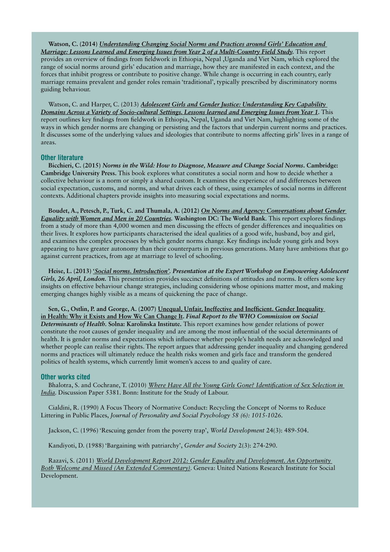**Watson, C. (2014)** *[Understanding Changing Social Norms and Practices around Girls' Education and](http://www.odi.org/sites/odi.org.uk/files/odi-assets/publications-opinion-files/9572.pdf)  [Marriage: Lessons Learned and Emerging Issues from Year 2 of a Multi-Country Field Study](http://www.odi.org/sites/odi.org.uk/files/odi-assets/publications-opinion-files/9572.pdf).* This report provides an overview of findings from fieldwork in Ethiopia, Nepal ,Uganda and Viet Nam, which explored the range of social norms around girls' education and marriage, how they are manifested in each context, and the forces that inhibit progress or contribute to positive change. While change is occurring in each country, early marriage remains prevalent and gender roles remain 'traditional', typically prescribed by discriminatory norms guiding behaviour.

Watson, C. and Harper, C. (2013) *[Adolescent Girls and Gender Justice: Understanding Key Capability](http://www.odi.org/sites/odi.org.uk/files/odi-assets/publications-opinion-files/8775.pdf)  [Domains Across a Variety of Socio-cultural Settings. Lessons learned and Emerging Issues from Year 1.](http://www.odi.org/sites/odi.org.uk/files/odi-assets/publications-opinion-files/8775.pdf)* This report outlines key findings from fieldwork in Ethiopia, Nepal, Uganda and Viet Nam, highlighting some of the ways in which gender norms are changing or persisting and the factors that underpin current norms and practices. It discusses some of the underlying values and ideologies that contribute to norms affecting girls' lives in a range of areas.

#### Other literature

**Bicchieri, C. (2015)** *Norms in the Wild: How to Diagnose, Measure and Change Social Norms***. Cambridge: Cambridge University Press.** This book explores what constitutes a social norm and how to decide whether a collective behaviour is a norm or simply a shared custom. It examines the experience of and differences between social expectation, customs, and norms, and what drives each of these, using examples of social norms in different contexts. Additional chapters provide insights into measuring social expectations and norms.

**Boudet, A., Petesch, P., Turk, C. and Thumala, A. (2012)** *[On Norms and Agency: Conversations about Gender](http://www-wds.worldbank.org/external/default/WDSContentServer/WDSP/IB/2012/12/06/000333037_20121206001207/Rendered/PDF/NonAsciiFileName0.pdf)  [Equality with Women and Men in 20 Countries](http://www-wds.worldbank.org/external/default/WDSContentServer/WDSP/IB/2012/12/06/000333037_20121206001207/Rendered/PDF/NonAsciiFileName0.pdf).* **Washington DC: The World Bank***.* This report explores findings from a study of more than 4,000 women and men discussing the effects of gender differences and inequalities on their lives. It explores how participants characterised the ideal qualities of a good wife, husband, boy and girl, and examines the complex processes by which gender norms change. Key findings include young girls and boys appearing to have greater autonomy than their counterparts in previous generations. Many have ambitions that go against current practices, from age at marriage to level of schooling.

**Heise, L. (2013) '***[Social norms. Introduction'.](http://strive.lshtm.ac.uk/sites/strive.lshtm.ac.uk/files/projects/images/Lori%20Heise%20Take-home%20Messages.pdf) Presentation at the Expert Workshop on Empowering Adolescent Girls, 26 April, London.* This presentation provides succinct definitions of attitudes and norms. It offers some key insights on effective behaviour change strategies, including considering whose opinions matter most, and making emerging changes highly visible as a means of quickening the pace of change.

**Sen, G., Ostlin, P. and George, A. (2007) [Unequal, Unfair, Ineffective and Inefficient. Gender Inequality](http://www.who.int/entity/social_determinants/resources/csdh_media/wgekn_final_report_07.pdf?ua=1)  [in Health: Why it Exists and How We Can Change It.](http://www.who.int/entity/social_determinants/resources/csdh_media/wgekn_final_report_07.pdf?ua=1)** *Final Report to the WHO Commission on Social Determinants of Health.* **Solna: Karolinska Institute.** This report examines how gender relations of power constitute the root causes of gender inequality and are among the most influential of the social determinants of health. It is gender norms and expectations which influence whether people's health needs are acknowledged and whether people can realise their rights. The report argues that addressing gender inequality and changing gendered norms and practices will ultimately reduce the health risks women and girls face and transform the gendered politics of health systems, which currently limit women's access to and quality of care.

#### Other works cited

Bhalotra, S. and Cochrane, T. (2010) *[Where Have All the Young Girls Gone? Identification of Sex Selection in](http://ftp.iza.org/dp5381.pdf)  [India](http://ftp.iza.org/dp5381.pdf).* Discussion Paper 5381. Bonn: Institute for the Study of Labour.

Cialdini, R. (1990) A Focus Theory of Normative Conduct: Recycling the Concept of Norms to Reduce Littering in Public Places, *Journal of Personality and Social Psychology 58 (6): 1015-1026.*

Jackson, C. (1996) 'Rescuing gender from the poverty trap', *World Development* 24(3): 489-504.

Kandiyoti, D. (1988) 'Bargaining with patriarchy', *Gender and Society* 2(3): 274-290.

Razavi, S. (2011) *[World Development Report 2012: Gender Equality and Development. An Opportunity](http://networkideas.org/featart/oct2011/Shahra_Razavi.pdf)  [Both Welcome and Missed \(An Extended Commentary\)](http://networkideas.org/featart/oct2011/Shahra_Razavi.pdf)*. Geneva: United Nations Research Institute for Social Development.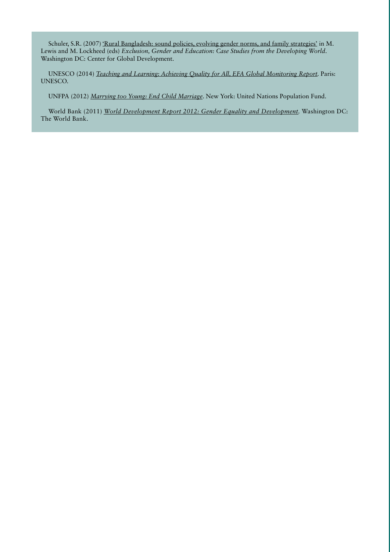Schuler, S.R. (2007) ['Rural Bangladesh: sound policies, evolving gender norms, and family strategies'](http://bit.ly/1mR6gqh) in M. Lewis and M. Lockheed (eds) *Exclusion, Gender and Education: Case Studies from the Developing World*. Washington DC: Center for Global Development.

UNESCO (2014) *[Teaching and Learning: Achieving Quality for All, EFA Global Monitoring Report.](http://unesdoc.unesco.org/images/0022/002256/225660e.pdf)* Paris: UNESCO.

UNFPA (2012) *[Marrying too Young: End Child Marriage](http://www.unfpa.org/sites/default/files/pub-pdf/MarryingTooYoung.pdf)*. New York: United Nations Population Fund.

World Bank (2011) *[World Development Report 2012: Gender Equality and Development.](http://siteresources.worldbank.org/INTWDR2012/Resources/7778105-1299699968583/7786210-1315936222006/Complete-Report.pdf)* Washington DC: The World Bank.